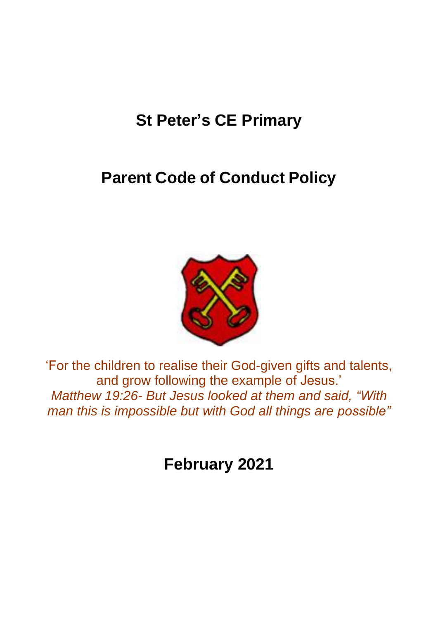# **St Peter's CE Primary**

# **Parent Code of Conduct Policy**



'For the children to realise their God-given gifts and talents, and grow following the example of Jesus.' *Matthew 19:26- But Jesus looked at them and said, "With man this is impossible but with God all things are possible"*

**February 2021**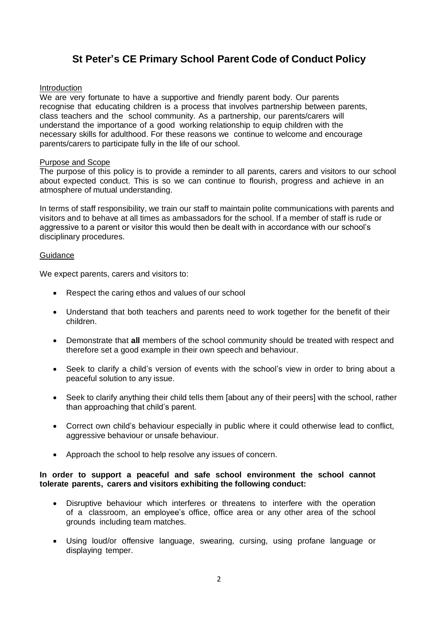# **St Peter's CE Primary School Parent Code of Conduct Policy**

# Introduction

We are very fortunate to have a supportive and friendly parent body. Our parents recognise that educating children is a process that involves partnership between parents, class teachers and the school community. As a partnership, our parents/carers will understand the importance of a good working relationship to equip children with the necessary skills for adulthood. For these reasons we continue to welcome and encourage parents/carers to participate fully in the life of our school.

# Purpose and Scope

The purpose of this policy is to provide a reminder to all parents, carers and visitors to our school about expected conduct. This is so we can continue to flourish, progress and achieve in an atmosphere of mutual understanding.

In terms of staff responsibility, we train our staff to maintain polite communications with parents and visitors and to behave at all times as ambassadors for the school. If a member of staff is rude or aggressive to a parent or visitor this would then be dealt with in accordance with our school's disciplinary procedures.

### **Guidance**

We expect parents, carers and visitors to:

- Respect the caring ethos and values of our school
- Understand that both teachers and parents need to work together for the benefit of their children.
- Demonstrate that **all** members of the school community should be treated with respect and therefore set a good example in their own speech and behaviour.
- Seek to clarify a child's version of events with the school's view in order to bring about a peaceful solution to any issue.
- Seek to clarify anything their child tells them [about any of their peers] with the school, rather than approaching that child's parent.
- Correct own child's behaviour especially in public where it could otherwise lead to conflict, aggressive behaviour or unsafe behaviour.
- Approach the school to help resolve any issues of concern.

### **In order to support a peaceful and safe school environment the school cannot tolerate parents, carers and visitors exhibiting the following conduct:**

- Disruptive behaviour which interferes or threatens to interfere with the operation of a classroom, an employee's office, office area or any other area of the school grounds including team matches.
- Using loud/or offensive language, swearing, cursing, using profane language or displaying temper.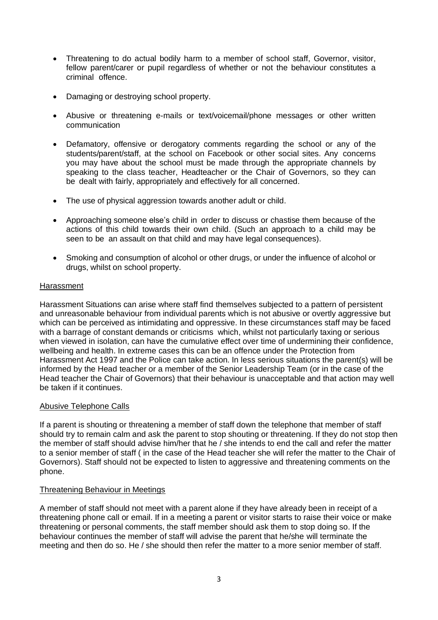- Threatening to do actual bodily harm to a member of school staff, Governor, visitor, fellow parent/carer or pupil regardless of whether or not the behaviour constitutes a criminal offence.
- Damaging or destroying school property.
- Abusive or threatening e-mails or text/voicemail/phone messages or other written communication
- Defamatory, offensive or derogatory comments regarding the school or any of the students/parent/staff, at the school on Facebook or other social sites. Any concerns you may have about the school must be made through the appropriate channels by speaking to the class teacher, Headteacher or the Chair of Governors, so they can be dealt with fairly, appropriately and effectively for all concerned.
- The use of physical aggression towards another adult or child.
- Approaching someone else's child in order to discuss or chastise them because of the actions of this child towards their own child. (Such an approach to a child may be seen to be an assault on that child and may have legal consequences).
- Smoking and consumption of alcohol or other drugs, or under the influence of alcohol or drugs, whilst on school property.

# **Harassment**

Harassment Situations can arise where staff find themselves subjected to a pattern of persistent and unreasonable behaviour from individual parents which is not abusive or overtly aggressive but which can be perceived as intimidating and oppressive. In these circumstances staff may be faced with a barrage of constant demands or criticisms which, whilst not particularly taxing or serious when viewed in isolation, can have the cumulative effect over time of undermining their confidence, wellbeing and health. In extreme cases this can be an offence under the Protection from Harassment Act 1997 and the Police can take action. In less serious situations the parent(s) will be informed by the Head teacher or a member of the Senior Leadership Team (or in the case of the Head teacher the Chair of Governors) that their behaviour is unacceptable and that action may well be taken if it continues.

# Abusive Telephone Calls

If a parent is shouting or threatening a member of staff down the telephone that member of staff should try to remain calm and ask the parent to stop shouting or threatening. If they do not stop then the member of staff should advise him/her that he / she intends to end the call and refer the matter to a senior member of staff ( in the case of the Head teacher she will refer the matter to the Chair of Governors). Staff should not be expected to listen to aggressive and threatening comments on the phone.

# Threatening Behaviour in Meetings

A member of staff should not meet with a parent alone if they have already been in receipt of a threatening phone call or email. If in a meeting a parent or visitor starts to raise their voice or make threatening or personal comments, the staff member should ask them to stop doing so. If the behaviour continues the member of staff will advise the parent that he/she will terminate the meeting and then do so. He / she should then refer the matter to a more senior member of staff.